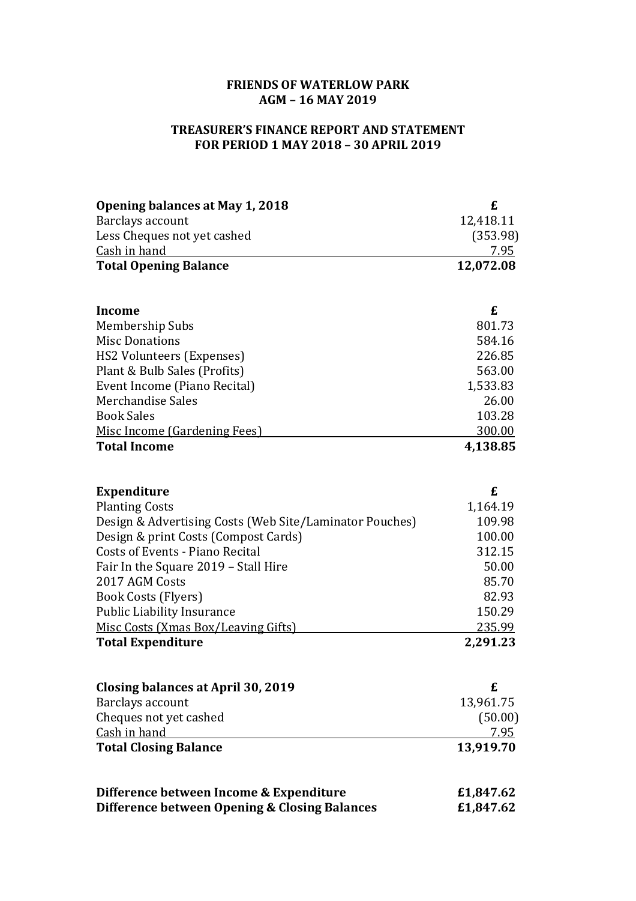## **FRIENDS OF WATERLOW PARK AGM – 16 MAY 2019**

## **TREASURER'S FINANCE REPORT AND STATEMENT FOR PERIOD 1 MAY 2018 – 30 APRIL 2019**

| <b>Opening balances at May 1, 2018</b>                  | £             |
|---------------------------------------------------------|---------------|
| Barclays account                                        | 12,418.11     |
| Less Cheques not yet cashed                             | (353.98)      |
| Cash in hand                                            | 7.95          |
| <b>Total Opening Balance</b>                            | 12,072.08     |
|                                                         |               |
| <b>Income</b>                                           | £<br>801.73   |
| Membership Subs<br><b>Misc Donations</b>                | 584.16        |
| <b>HS2 Volunteers (Expenses)</b>                        | 226.85        |
| Plant & Bulb Sales (Profits)                            | 563.00        |
| Event Income (Piano Recital)                            | 1,533.83      |
| Merchandise Sales                                       | 26.00         |
| <b>Book Sales</b>                                       | 103.28        |
| Misc Income (Gardening Fees)                            | <u>300.00</u> |
| <b>Total Income</b>                                     | 4,138.85      |
|                                                         |               |
| <b>Expenditure</b>                                      | £             |
| <b>Planting Costs</b>                                   | 1,164.19      |
| Design & Advertising Costs (Web Site/Laminator Pouches) | 109.98        |
| Design & print Costs (Compost Cards)                    | 100.00        |
| <b>Costs of Events - Piano Recital</b>                  | 312.15        |
| Fair In the Square 2019 - Stall Hire                    | 50.00         |
| 2017 AGM Costs                                          | 85.70         |
| Book Costs (Flyers)                                     | 82.93         |
| <b>Public Liability Insurance</b>                       | 150.29        |
| Misc Costs (Xmas Box/Leaving Gifts)                     | 235.99        |
| <b>Total Expenditure</b>                                | 2,291.23      |
| <b>Closing balances at April 30, 2019</b>               | £             |
| Barclays account                                        | 13,961.75     |
| Cheques not yet cashed                                  | (50.00)       |
| Cash in hand                                            | 7.95          |
| <b>Total Closing Balance</b>                            | 13,919.70     |
| Difference between Income & Expenditure                 | £1,847.62     |
| Difference between Opening & Closing Balances           | £1,847.62     |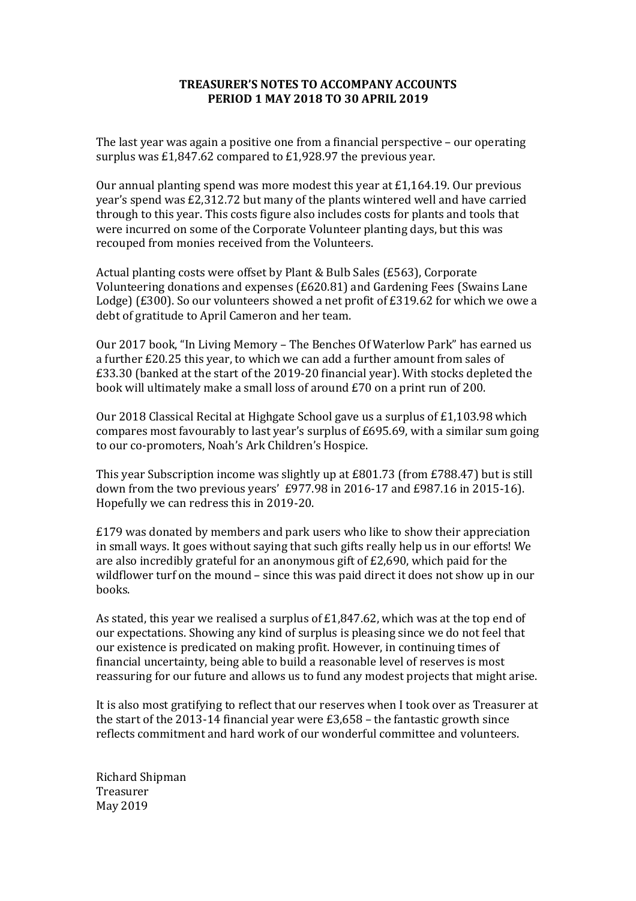## **TREASURER'S NOTES TO ACCOMPANY ACCOUNTS PERIOD 1 MAY 2018 TO 30 APRIL 2019**

The last year was again a positive one from a financial perspective – our operating surplus was £1,847.62 compared to £1,928.97 the previous year.

Our annual planting spend was more modest this year at  $£1,164.19$ . Our previous year's spend was £2,312.72 but many of the plants wintered well and have carried through to this year. This costs figure also includes costs for plants and tools that were incurred on some of the Corporate Volunteer planting days, but this was recouped from monies received from the Volunteers.

Actual planting costs were offset by Plant & Bulb Sales (£563), Corporate Volunteering donations and expenses (£620.81) and Gardening Fees (Swains Lane Lodge) (£300). So our volunteers showed a net profit of £319.62 for which we owe a debt of gratitude to April Cameron and her team.

Our 2017 book, "In Living Memory – The Benches Of Waterlow Park" has earned us a further £20.25 this year, to which we can add a further amount from sales of £33.30 (banked at the start of the 2019-20 financial year). With stocks depleted the book will ultimately make a small loss of around £70 on a print run of 200.

Our 2018 Classical Recital at Highgate School gave us a surplus of £1,103.98 which compares most favourably to last year's surplus of £695.69, with a similar sum going to our co-promoters, Noah's Ark Children's Hospice.

This year Subscription income was slightly up at £801.73 (from £788.47) but is still down from the two previous years' £977.98 in 2016-17 and £987.16 in 2015-16). Hopefully we can redress this in 2019-20.

£179 was donated by members and park users who like to show their appreciation in small ways. It goes without saying that such gifts really help us in our efforts! We are also incredibly grateful for an anonymous gift of £2,690, which paid for the wildflower turf on the mound – since this was paid direct it does not show up in our books.

As stated, this year we realised a surplus of £1,847.62, which was at the top end of our expectations. Showing any kind of surplus is pleasing since we do not feel that our existence is predicated on making profit. However, in continuing times of financial uncertainty, being able to build a reasonable level of reserves is most reassuring for our future and allows us to fund any modest projects that might arise.

It is also most gratifying to reflect that our reserves when I took over as Treasurer at the start of the 2013-14 financial year were £3,658 – the fantastic growth since reflects commitment and hard work of our wonderful committee and volunteers.

Richard Shipman Treasurer May 2019